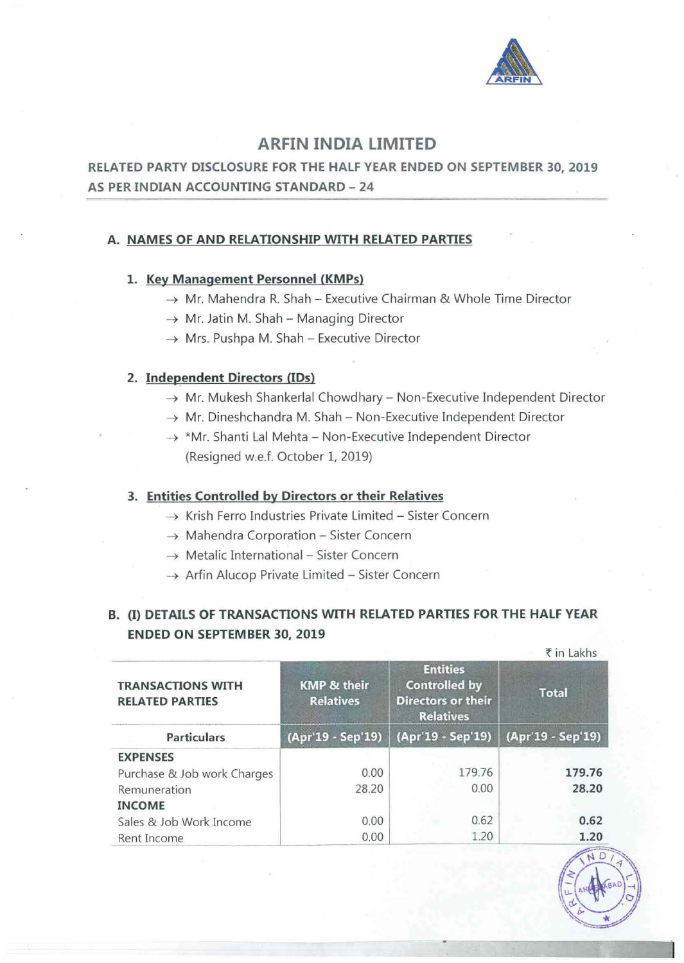

# ARFIN INDIA LIMITED

RELATED PARTY DISCLOSURE FOR THE HALF YEAR ENDED ON SEPTEMBER 30, 2019 AS PER INDIAN ACCOUNTING STANDARD - 24

## A. NAMES OF AND RELATIONSHIP WITH RELATED PARTIES

### 1. Key Management Personnel (KMPs)

- $\rightarrow$  Mr. Mahendra R. Shah Executive Chairman & Whole Time Director
- $\rightarrow$  Mr. Jatin M. Shah Managing Director
- $\rightarrow$  Mrs. Pushpa M. Shah Executive Director

## 2. Independent Directors (IDs)

- $\rightarrow$  Mr. Mukesh Shankerlal Chowdhary Non-Executive Independent Director
- $\rightarrow$  Mr. Dineshchandra M. Shah Non-Executive Independent Director
- $\rightarrow$  \*Mr. Shanti Lal Mehta Non-Executive Independent Director (Resigned w.e.f. October 1, 2019)

### 3. Entities Controlled by Directors or their Relatives

- $\rightarrow$  Krish Ferro Industries Private Limited Sister Concern
- $\rightarrow$  Mahendra Corporation Sister Concern
- $\rightarrow$  Metalic International Sister Concern
- $\rightarrow$  Arfin Alucop Private Limited Sister Concern

# B. (I) DETAILS OF TRANSACTIONS WITH RELATED PARTIES FOR THE HALF YEAR ENDED ON SEPTEMBER 30, 2019

|                                                    |                                            |                                                                                          | ₹ in Lakhs                        |  |
|----------------------------------------------------|--------------------------------------------|------------------------------------------------------------------------------------------|-----------------------------------|--|
| <b>TRANSACTIONS WITH</b><br><b>RELATED PARTIES</b> | <b>KMP &amp; their</b><br><b>Relatives</b> | <b>Entities</b><br><b>Controlled by</b><br><b>Directors or their</b><br><b>Relatives</b> | <b>Total</b><br>(Apr'19 - Sep'19) |  |
| <b>Particulars</b>                                 | (Apr'19 - Sep'19)                          | (Apr'19 - Sep'19)                                                                        |                                   |  |
| <b>EXPENSES</b>                                    |                                            |                                                                                          |                                   |  |
| Purchase & Job work Charges                        | 0.00                                       | 179.76                                                                                   | 179.76                            |  |
| Remuneration                                       | 28.20                                      | 0.00                                                                                     | 28.20                             |  |
| <b>INCOME</b>                                      |                                            |                                                                                          |                                   |  |
| Sales & Job Work Income                            | 0.00                                       | 0.62                                                                                     | 0.62                              |  |
| Rent Income                                        | 0.00                                       | 1.20                                                                                     | 1.20                              |  |

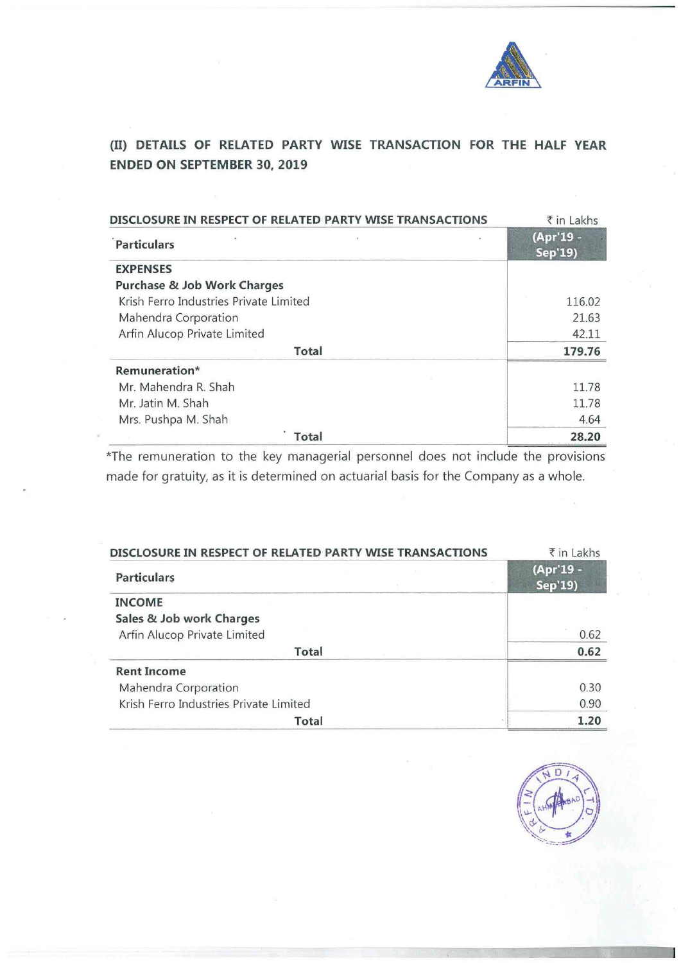

# (II) **DETAILS OF RELATED PARTY WISE TRANSACTION FOR THE HALF YEAR ENDED ON SEPTEMBER 30, 2019**

| DISCLOSURE IN RESPECT OF RELATED PARTY WISE TRANSACTIONS | ₹ in Lakhs           |
|----------------------------------------------------------|----------------------|
| ×,<br><b>Particulars</b>                                 | (Apr'19 -<br>Sep'19) |
| <b>EXPENSES</b>                                          |                      |
| <b>Purchase &amp; Job Work Charges</b>                   |                      |
| Krish Ferro Industries Private Limited                   | 116.02               |
| Mahendra Corporation                                     | 21.63                |
| Arfin Alucop Private Limited                             | 42.11                |
| Total                                                    | 179.76               |
| Remuneration*                                            |                      |
| Mr. Mahendra R. Shah                                     | 11.78                |
| Mr. Jatin M. Shah                                        | 11.78                |
| Mrs. Pushpa M. Shah                                      | 4.64                 |
| Total                                                    | 28.20                |

\*The remuneration to the key managerial personnel does not include the provisions made for gratuity, as it is determined on actuarial basis for the Company as a whole.

| DISCLOSURE IN RESPECT OF RELATED PARTY WISE TRANSACTIONS | ₹ in Lakhs           |
|----------------------------------------------------------|----------------------|
| <b>Particulars</b>                                       | (Apr'19 -<br>Sep'19) |
| <b>INCOME</b>                                            |                      |
| Sales & Job work Charges                                 |                      |
| Arfin Alucop Private Limited                             | 0.62                 |
| Total                                                    | 0.62                 |
| <b>Rent Income</b>                                       |                      |
| Mahendra Corporation                                     | 0.30                 |
| Krish Ferro Industries Private Limited                   | 0.90                 |
| Total                                                    | 1.20                 |

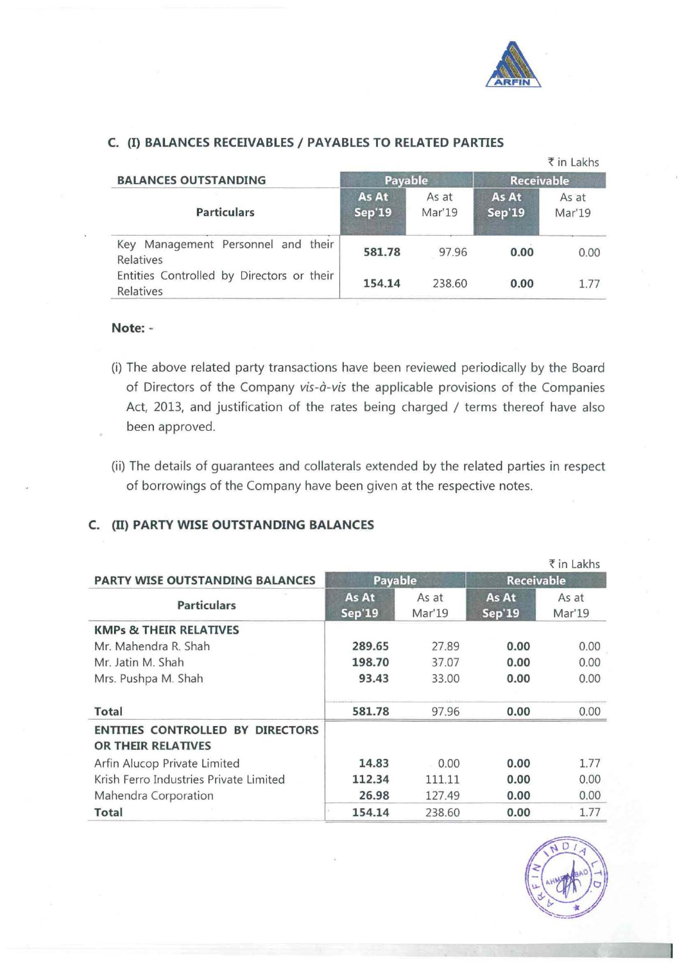

#### **C. (I) BALANCES RECEIVABLES I PAYABLES TO RELATED PARTIES BALANCES OUTSTANDING Payable** ₹ in Lakhs

| <b>BALANCES OUTSTANDING</b>                            | <b>Payable</b>         |                 | <b>Receivable</b>      |                 |
|--------------------------------------------------------|------------------------|-----------------|------------------------|-----------------|
| <b>Particulars</b>                                     | As At<br><b>Sep'19</b> | As at<br>Mar'19 | As At<br><b>Sep'19</b> | As at<br>Mar'19 |
| Key Management Personnel and their<br>Relatives        | 581.78                 | 97.96           | 0.00                   | 0.00            |
| Entities Controlled by Directors or their<br>Relatives | 154.14                 | 238.60          | 0.00                   | 1.77            |

### **Note:** -

- (i) The above related party transactions have been reviewed periodically by the Board of Directors of the Company *vis-a-vis* the applicable provisions of the Companies Act, 2013, and justification of the rates being charged / terms thereof have also been approved.
- (ii) The details of guarantees and collaterals extended by the related parties in respect of borrowings of the Company have been given at the respective notes.

## **C.** (II) **PARTY WISE OUTSTANDING BALANCES**

|                                         |               |        |                   | $\bar{\tau}$ in Lakhs |
|-----------------------------------------|---------------|--------|-------------------|-----------------------|
| <b>PARTY WISE OUTSTANDING BALANCES</b>  | Payable       |        | <b>Receivable</b> |                       |
| <b>Particulars</b>                      | As At         | As at  | As At             | As at                 |
|                                         | <b>Sep'19</b> | Mar'19 | <b>Sep'19</b>     | Mar'19                |
| <b>KMPs &amp; THEIR RELATIVES</b>       |               |        |                   |                       |
| Mr. Mahendra R. Shah                    | 289.65        | 27.89  | 0.00              | 0.00                  |
| Mr. Jatin M. Shah                       | 198.70        | 37.07  | 0.00              | 0.00                  |
| Mrs. Pushpa M. Shah                     | 93.43         | 33.00  | 0.00              | 0.00                  |
| <b>Total</b>                            | 581.78        | 97.96  | 0.00              | 0.00                  |
| <b>ENTITIES CONTROLLED BY DIRECTORS</b> |               |        |                   |                       |
| OR THEIR RELATIVES                      |               |        |                   |                       |
| Arfin Alucop Private Limited            | 14.83         | 0.00   | 0.00              | 1.77                  |
| Krish Ferro Industries Private Limited  | 112.34        | 111.11 | 0.00              | 0.00                  |
| Mahendra Corporation                    | 26.98         | 127.49 | 0.00              | 0.00                  |
| <b>Total</b>                            | 154.14        | 238.60 | 0.00              | 1.77                  |